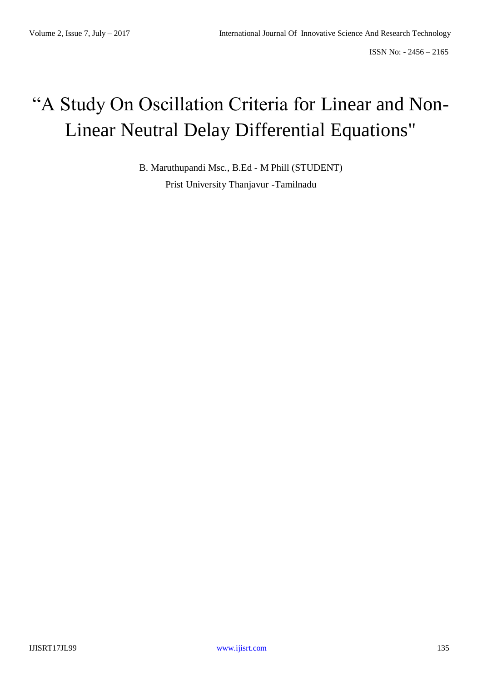# "A Study On Oscillation Criteria for Linear and Non-Linear Neutral Delay Differential Equations"

B. Maruthupandi Msc., B.Ed - M Phill (STUDENT) Prist University Thanjavur -Tamilnadu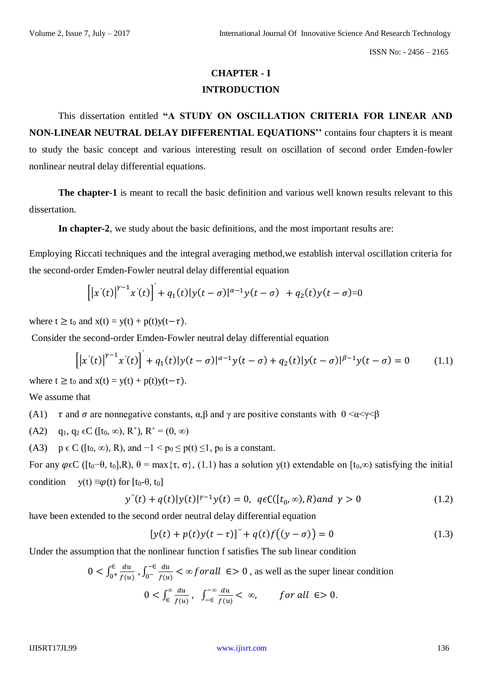# **CHAPTER - I INTRODUCTION**

This dissertation entitled **"A STUDY ON OSCILLATION CRITERIA FOR LINEAR AND NON-LINEAR NEUTRAL DELAY DIFFERENTIAL EQUATIONS''** contains four chapters it is meant to study the basic concept and various interesting result on oscillation of second order Emden-fowler nonlinear neutral delay differential equations.

**The chapter-1** is meant to recall the basic definition and various well known results relevant to this dissertation.

**In chapter-2**, we study about the basic definitions, and the most important results are:

Employing Riccati techniques and the integral averaging method,we establish interval oscillation criteria for the second-order Emden-Fowler neutral delay differential equation

$$
\left[ \left| x'(t) \right|^{y-1} x'(t) \right]' + q_1(t) |y(t-\sigma)|^{\alpha-1} y(t-\sigma) + q_2(t) y(t-\sigma) = 0
$$

where  $t \ge t_0$  and  $x(t) = y(t) + p(t)y(t-\tau)$ .

Consider the second-order Emden-Fowler neutral delay differential equation

$$
\left[ \left| x'(t) \right|^{\gamma - 1} x'(t) \right]' + q_1(t) |y(t - \sigma)|^{\alpha - 1} y(t - \sigma) + q_2(t) |y(t - \sigma)|^{\beta - 1} y(t - \sigma) = 0 \tag{1.1}
$$

where  $t \ge t_0$  and  $x(t) = y(t) + p(t)y(t-\tau)$ .

We assume that

- (A1)  $\tau$  and  $\sigma$  are nonnegative constants,  $\alpha, \beta$  and  $\gamma$  are positive constants with  $0 \le \alpha \le \gamma \le \beta$
- (A2)  $q_1, q_2 \in C([t_0, \infty), R^+), R^+ = (0, \infty)$
- (A3)  $p \in C$  ([t<sub>0</sub>, ∞), R), and  $-1 < p_0 \le p(t) \le 1$ ,  $p_0$  is a constant.

For any  $\varphi \in C$  ([t<sub>0</sub>- $\theta$ , t<sub>0</sub>],R),  $\theta = \max{\{\tau, \sigma\}}$ , (1.1) has a solution y(t) extendable on [t<sub>0</sub>, $\infty$ ) satisfying the initial condition  $y(t) \equiv \varphi(t)$  for  $[t_0-\theta, t_0]$ 

$$
y''(t) + q(t)|y(t)|^{\gamma - 1}y(t) = 0, \ q \in C([t_0, \infty), R) \text{ and } \gamma > 0 \tag{1.2}
$$

have been extended to the second order neutral delay differential equation

$$
[y(t) + p(t)y(t - \tau)]'' + q(t)f((y - \sigma)) = 0
$$
\n(1.3)

Under the assumption that the nonlinear function f satisfies The sub linear condition

$$
0 < \int_{0^+}^{\epsilon} \frac{du}{f(u)}, \int_{0^-}^{-\epsilon} \frac{du}{f(u)} < \infty \text{ for all } \epsilon > 0 \text{, as well as the super linear condition}
$$
\n
$$
0 < \int_{\epsilon}^{\infty} \frac{du}{f(u)}, \quad \int_{-\epsilon}^{-\infty} \frac{du}{f(u)} < \infty, \qquad \text{ for all } \epsilon > 0.
$$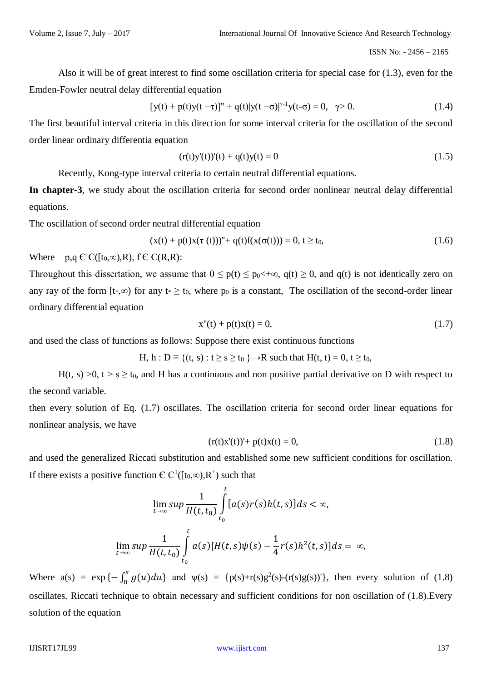Also it will be of great interest to find some oscillation criteria for special case for (1.3), even for the Emden-Fowler neutral delay differential equation

$$
[y(t) + p(t)y(t-\tau)]'' + q(t)|y(t-\sigma)|^{\gamma-1}y(t-\sigma) = 0, \quad \gamma > 0.
$$
 (1.4)

The first beautiful interval criteria in this direction for some interval criteria for the oscillation of the second order linear ordinary differentia equation

$$
(r(t)y'(t))(t) + q(t)y(t) = 0
$$
\n(1.5)

Recently, Kong-type interval criteria to certain neutral differential equations.

**In chapter-3**, we study about the oscillation criteria for second order nonlinear neutral delay differential equations.

The oscillation of second order neutral differential equation

$$
(x(t) + p(t)x(\tau(t)))'' + q(t)f(x(\sigma(t))) = 0, t \ge t_0,
$$
\n(1.6)

Where  $p,q \in C([t_0,\infty),R)$ ,  $f \in C(R,R)$ :

Throughout this dissertation, we assume that  $0 \le p(t) \le p_0 \lt +\infty$ ,  $q(t) \ge 0$ , and  $q(t)$  is not identically zero on any ray of the form  $[t, \infty)$  for any  $t \geq t_0$ , where  $p_0$  is a constant, The oscillation of the second-order linear ordinary differential equation

$$
x''(t) + p(t)x(t) = 0,
$$
\n(1.7)

and used the class of functions as follows: Suppose there exist continuous functions

H, h :  $D \equiv \{(t, s) : t \ge s \ge t_0 \} \rightarrow R$  such that  $H(t, t) = 0, t \ge t_0$ ,

H(t, s)  $>0$ , t  $> s \ge t_0$ , and H has a continuous and non positive partial derivative on D with respect to the second variable.

then every solution of Eq. (1.7) oscillates. The oscillation criteria for second order linear equations for nonlinear analysis, we have

$$
(r(t)x'(t))' + p(t)x(t) = 0,
$$
\n(1.8)

and used the generalized Riccati substitution and established some new sufficient conditions for oscillation. If there exists a positive function  $\mathbb{C} \mathbb{C}^1([t_0,\infty), \mathbb{R}^+)$  such that

$$
\lim_{t \to \infty} \sup \frac{1}{H(t, t_0)} \int_{t_0}^t [a(s)r(s)h(t, s)]ds < \infty,
$$
\n
$$
\lim_{t \to \infty} \sup \frac{1}{H(t, t_0)} \int_{t_0}^t a(s)[H(t, s)\psi(s) - \frac{1}{4}r(s)h^2(t, s)]ds = \infty,
$$

Where  $a(s) = \exp\{-\int_0^s g(u)du\}$  $\int_0^s g(u) du$ } and  $\psi(s) = {\rho(s)+r(s)g^2(s)-(r(s)g(s))'}$ , then every solution of (1.8) oscillates. Riccati technique to obtain necessary and sufficient conditions for non oscillation of (1.8).Every solution of the equation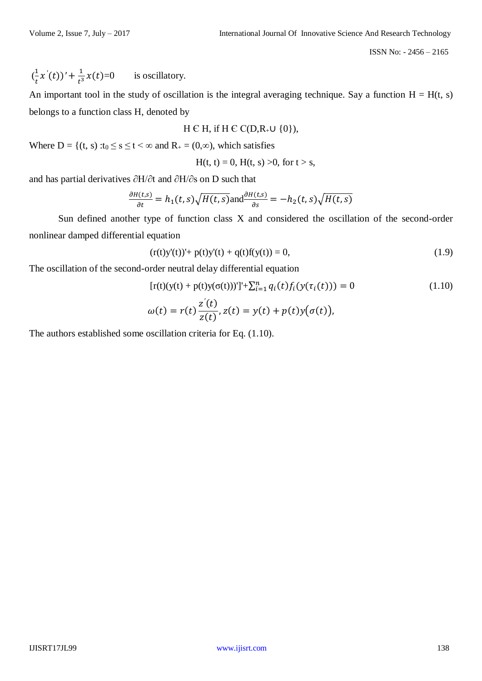$$
(\frac{1}{t}x'(t))' + \frac{1}{t^3}x(t) = 0
$$
 is oscillatory.

An important tool in the study of oscillation is the integral averaging technique. Say a function  $H = H(t, s)$ belongs to a function class H, denoted by

$$
H \in H, \text{ if } H \in C(D, R_+ \cup \{0\}),
$$

Where D = {(t, s) :t<sub>0</sub>  $\leq$  s  $\leq$  t  $\lt \infty$  and R<sub>+</sub> = (0, $\infty$ ), which satisfies

 $H(t, t) = 0$ ,  $H(t, s) > 0$ , for  $t > s$ ,

and has partial derivatives ∂H/∂t and ∂H/∂s on D such that

$$
\frac{\partial H(t,s)}{\partial t} = h_1(t,s)\sqrt{H(t,s)} \text{and} \frac{\partial H(t,s)}{\partial s} = -h_2(t,s)\sqrt{H(t,s)}
$$

Sun defined another type of function class X and considered the oscillation of the second-order nonlinear damped differential equation

$$
(r(t)y'(t))' + p(t)y'(t) + q(t)f(y(t)) = 0,
$$
\n(1.9)

The oscillation of the second-order neutral delay differential equation

$$
[r(t)(y(t) + p(t)y(\sigma(t)))'] + \sum_{i=1}^{n} q_i(t) f_i(y(\tau_i(t))) = 0
$$
\n
$$
\omega(t) = r(t) \frac{z'(t)}{z(t)}, z(t) = y(t) + p(t)y(\sigma(t)),
$$
\n(1.10)

The authors established some oscillation criteria for Eq. (1.10).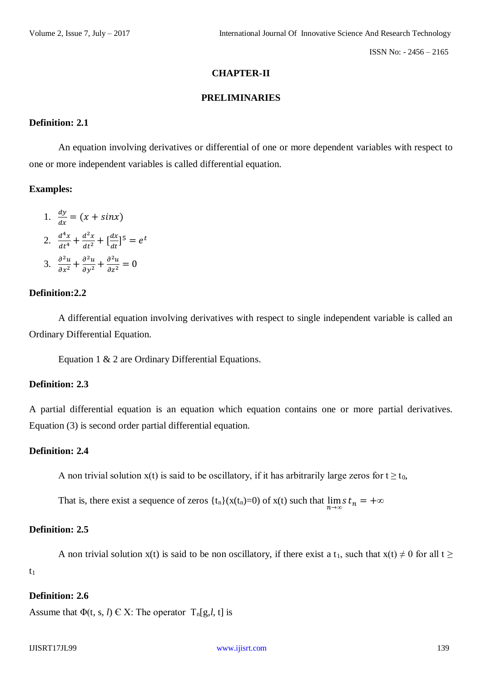# **CHAPTER-II**

#### **PRELIMINARIES**

## **Definition: 2.1**

An equation involving derivatives or differential of one or more dependent variables with respect to one or more independent variables is called differential equation.

#### **Examples:**

1.  $\frac{dy}{dx} = (x + \sin x)$ 2.  $\frac{d^4x}{dt^4} + \frac{d^2x}{dt^2} + \left[\frac{dx}{dt}\right]$  $\left[\frac{dx}{dt}\right]^5 = e^t$ 3.  $\frac{\partial^2 u}{\partial x^2} + \frac{\partial^2 u}{\partial y^2} + \frac{\partial^2 u}{\partial z^2} = 0$ 

# **Definition:2.2**

A differential equation involving derivatives with respect to single independent variable is called an Ordinary Differential Equation.

Equation 1 & 2 are Ordinary Differential Equations.

#### **Definition: 2.3**

A partial differential equation is an equation which equation contains one or more partial derivatives. Equation (3) is second order partial differential equation.

#### **Definition: 2.4**

A non trivial solution  $x(t)$  is said to be oscillatory, if it has arbitrarily large zeros for  $t \ge t_0$ ,

That is, there exist a sequence of zeros  $\{t_n\}(x(t_n)=0)$  of  $x(t)$  such that  $\lim_{n\to\infty} s t_n = +\infty$ 

## **Definition: 2.5**

A non trivial solution x(t) is said to be non oscillatory, if there exist a t<sub>1</sub>, such that  $x(t) \neq 0$  for all  $t \geq 0$ 

 $t<sub>1</sub>$ 

# **Definition: 2.6**

Assume that  $\Phi(t, s, l) \in X$ : The operator  $T_n[g, l, t]$  is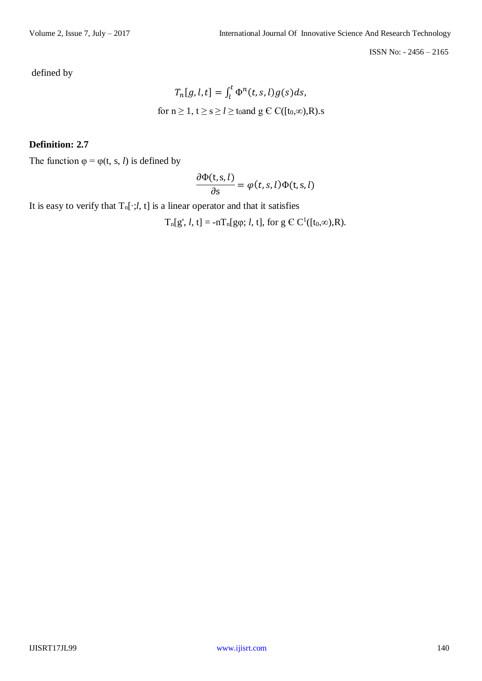defined by

$$
T_n[g, l, t] = \int_l^t \Phi^n(t, s, l) g(s) ds,
$$
  
for  $n \ge 1, t \ge s \ge l \ge t_0$  and  $g \in C([t_0, \infty), R)$ .s

# **Definition: 2.7**

The function  $\varphi = \varphi(t, s, l)$  is defined by

$$
\frac{\partial \Phi(t,s,l)}{\partial s} = \varphi(t,s,l) \Phi(t,s,l)
$$

It is easy to verify that  $T_n[\cdot; l, t]$  is a linear operator and that it satisfies

 $T_n[g', l, t] = -nT_n[g\varphi; l, t]$ , for  $g \in C^1([t_0,\infty), R)$ .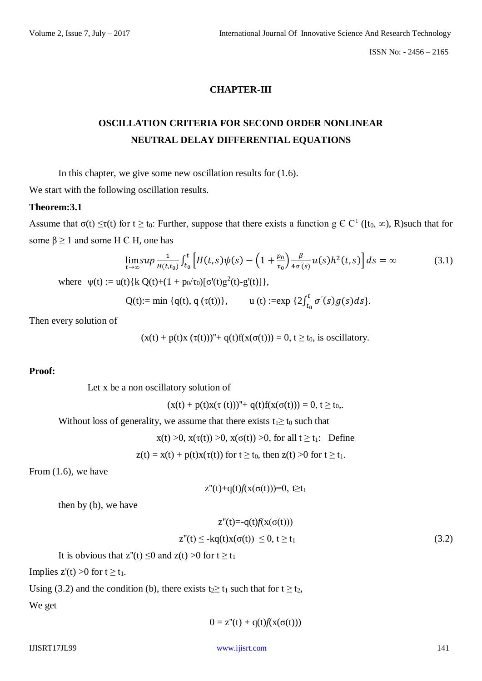# **CHAPTER-III**

# **OSCILLATION CRITERIA FOR SECOND ORDER NONLINEAR NEUTRAL DELAY DIFFERENTIAL EQUATIONS**

In this chapter, we give some new oscillation results for (1.6).

We start with the following oscillation results.

#### **Theorem:3.1**

Assume that  $\sigma(t) \leq \tau(t)$  for  $t \geq t_0$ : Further, suppose that there exists a function  $g \in C^1$  ([ $t_0, \infty$ ), R)such that for some  $\beta \ge 1$  and some H  $\epsilon$  H, one has

$$
\lim_{t \to \infty} \sup \frac{1}{H(t,t_0)} \int_{t_0}^t \left[ H(t,s) \psi(s) - \left( 1 + \frac{p_0}{\tau_0} \right) \frac{\beta}{4\sigma'(s)} u(s) h^2(t,s) \right] ds = \infty \tag{3.1}
$$

where  $\psi(t) := u(t) \{ k \ Q(t) + (1 + p_0/\tau_0) [\sigma'(t)g^2(t) - g'(t)] \},$ 

Q(t):= min {q(t), q ( $\tau$ (t))}, u (t) :=exp {2 $\int_{t_0}^{t} \sigma'(s)g(s)ds$ }  $\int_{t_0}^{\tau} \sigma'(s)g(s)ds$ .

Then every solution of

 $(x(t) + p(t)x (\tau(t)))'' + q(t)f(x(\sigma(t))) = 0, t \ge t_0$ , is oscillatory.

## **Proof:**

Let x be a non oscillatory solution of

 $(x(t) + p(t)x(\tau(t)))'' + q(t)f(x(\sigma(t))) = 0, t \ge t_0,$ .

Without loss of generality, we assume that there exists  $t_1 \geq t_0$  such that

 $x(t) > 0$ ,  $x(\tau(t)) > 0$ ,  $x(\sigma(t)) > 0$ , for all  $t \ge t_1$ : Define

 $z(t) = x(t) + p(t)x(\tau(t))$  for  $t \ge t_0$ , then  $z(t) > 0$  for  $t \ge t_1$ .

From (1.6), we have

 $z''(t)+q(t)f(x(\sigma(t)))=0, t \geq t_1$ 

then by (b), we have

$$
z''(t) = -q(t)f(x(\sigma(t)))
$$
  
\n
$$
z''(t) \le -kq(t)x(\sigma(t)) \le 0, t \ge t_1
$$
\n(3.2)

It is obvious that  $z''(t) \le 0$  and  $z(t) > 0$  for  $t \ge t_1$ 

Implies  $z'(t) > 0$  for  $t > t_1$ .

Using (3.2) and the condition (b), there exists  $t_2 \ge t_1$  such that for  $t \ge t_2$ ,

We get

$$
0 = z''(t) + q(t)f(x(\sigma(t)))
$$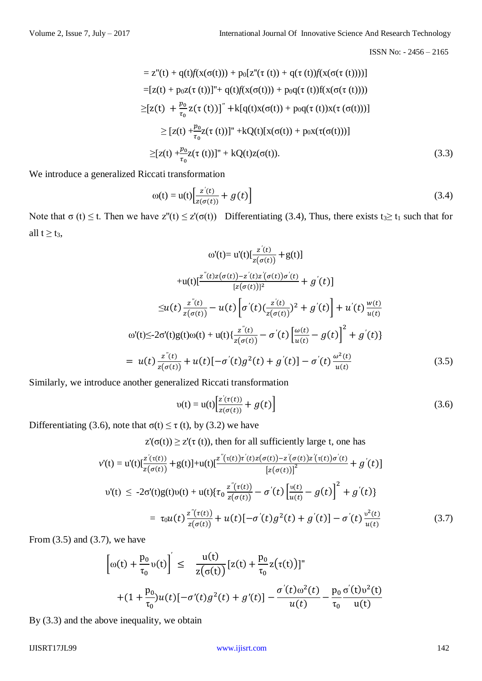$$
= z''(t) + q(t)f(x(\sigma(t))) + p_0[z''(\tau(t)) + q(\tau(t))f(x(\sigma(\tau(t))))]
$$
  
\n
$$
= [z(t) + p_0z(\tau(t))]'' + q(t)f(x(\sigma(t))) + p_0q(\tau(t))f(x(\sigma(\tau(t))))
$$
  
\n
$$
\geq [z(t) + \frac{p_0}{\tau_0}z(\tau(t))]'' + k[q(t)x(\sigma(t)) + p_0q(\tau(t))x(\tau(\sigma(t)))]
$$
  
\n
$$
\geq [z(t) + \frac{p_0}{\tau_0}z(\tau(t))]'' + kQ(t)[x(\sigma(t)) + p_0x(\tau(\sigma(t)))]
$$
  
\n
$$
\geq [z(t) + \frac{p_0}{\tau_0}z(\tau(t))]'' + kQ(t)z(\sigma(t)).
$$
\n(3.3)

We introduce a generalized Riccati transformation

$$
\omega(t) = u(t) \left[ \frac{z'(t)}{z(\sigma(t))} + g(t) \right]
$$
\n(3.4)

Note that  $\sigma(t) \leq t$ . Then we have  $z''(t) \leq z'(\sigma(t))$  Differentiating (3.4), Thus, there exists  $t_3 \geq t_1$  such that for all  $t \geq t_3$ ,

$$
\omega'(t) = u'(t) \left[ \frac{z'(t)}{z(\sigma(t))} + g(t) \right]
$$
  
+u(t) \left[ \frac{z''(t)z(\sigma(t)) - z'(t)z'(\sigma(t))\sigma'(t)}{[z(\sigma(t))]^2} + g'(t) \right]   

$$
\leq u(t) \frac{z''(t)}{z(\sigma(t))} - u(t) \left[ \sigma'(t) \left( \frac{z'(t)}{z(\sigma(t))} \right)^2 + g'(t) \right] + u'(t) \frac{w(t)}{u(t)}
$$
  

$$
\omega'(t) \leq 2\sigma'(t)g(t)\omega(t) + u(t) \left\{ \frac{z''(t)}{z(\sigma(t))} - \sigma'(t) \left[ \frac{\omega(t)}{u(t)} - g(t) \right]^2 + g'(t) \right\}
$$
  
= 
$$
u(t) \frac{z''(t)}{z(\sigma(t))} + u(t) \left[ -\sigma'(t)g^2(t) + g'(t) \right] - \sigma'(t) \frac{\omega^2(t)}{u(t)}
$$
(3.5)

Similarly, we introduce another generalized Riccati transformation

$$
v(t) = u(t) \left[ \frac{z'(\tau(t))}{z(\sigma(t))} + g(t) \right]
$$
\n(3.6)

Differentiating (3.6), note that  $\sigma(t) \le \tau$  (t), by (3.2) we have

 $z'(\sigma(t)) \geq z'(\tau(t))$ , then for all sufficiently large t, one has

$$
v'(t) = u'(t)\left[\frac{z^{'}(\tau(t))}{z(\sigma(t))} + g(t)\right] + u(t)\left[\frac{z^{''}(\tau(t))\tau^{'}(t)z(\sigma(t)) - z^{'}(\sigma(t))z^{'}(\tau(t))\sigma^{'}(t)}{[z(\sigma(t))]} + g^{'}(t)\right]
$$
  
\n
$$
v'(t) \le -2\sigma'(t)g(t)v(t) + u(t)\left\{\tau_0 \frac{z^{''}(\tau(t))}{z(\sigma(t))} - \sigma^{'}(t) \left[\frac{v(t)}{u(t)} - g(t)\right]^{2} + g^{'}(t)\right\}
$$
  
\n
$$
= \tau_0 u(t) \frac{z^{''}(\tau(t))}{z(\sigma(t))} + u(t)\left[-\sigma^{'}(t)g^{2}(t) + g^{'}(t)\right] - \sigma^{'}(t)\frac{v^{2}(t)}{u(t)}
$$
(3.7)

From  $(3.5)$  and  $(3.7)$ , we have

$$
\left[\omega(t) + \frac{p_0}{\tau_0} \nu(t)\right]' \leq \frac{u(t)}{z(\sigma(t))} [z(t) + \frac{p_0}{\tau_0} z(\tau(t))]^{n}
$$

$$
+ (1 + \frac{p_0}{\tau_0}) u(t) [-\sigma'(t)g^2(t) + g'(t)] - \frac{\sigma'(t)\omega^2(t)}{u(t)} - \frac{p_0}{\tau_0} \frac{\sigma'(t)\nu^2(t)}{u(t)}
$$

By (3.3) and the above inequality, we obtain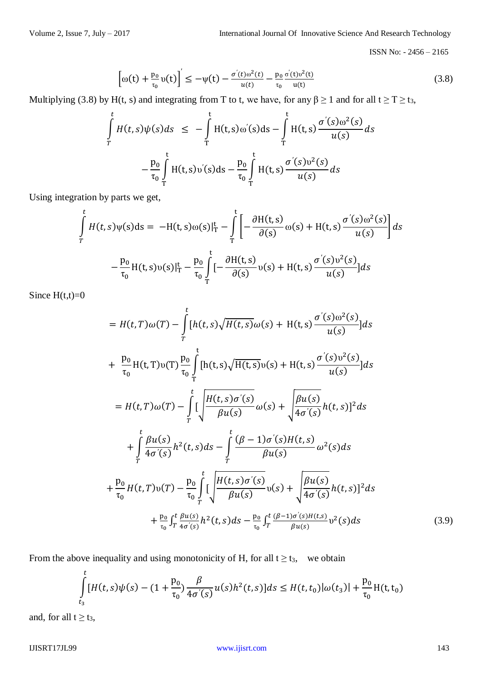$$
\left[\omega(t) + \frac{p_0}{\tau_0} \nu(t)\right]' \le -\psi(t) - \frac{\sigma'(t)\omega^2(t)}{u(t)} - \frac{p_0}{\tau_0} \frac{\sigma'(t)\nu^2(t)}{u(t)}\tag{3.8}
$$

Multiplying (3.8) by H(t, s) and integrating from T to t, we have, for any  $\beta \ge 1$  and for all  $t \ge T \ge t_3$ ,

$$
\int_{T}^{t} H(t,s)\psi(s)ds \leq -\int_{T}^{t} H(t,s)\omega'(s)ds - \int_{T}^{t} H(t,s)\frac{\sigma'(s)\omega^{2}(s)}{u(s)}ds
$$
\n
$$
-\frac{p_{0}}{\tau_{0}}\int_{T}^{t} H(t,s)\omega'(s)ds - \frac{p_{0}}{\tau_{0}}\int_{T}^{t} H(t,s)\frac{\sigma'(s)\omega^{2}(s)}{u(s)}ds
$$

Using integration by parts we get,

$$
\int_{T}^{t} H(t,s)\psi(s)ds = -H(t,s)\omega(s)|_{T}^{t} - \int_{T}^{t} \left[ -\frac{\partial H(t,s)}{\partial(s)}\omega(s) + H(t,s)\frac{\sigma'(s)\omega^{2}(s)}{u(s)} \right]ds
$$
\n
$$
-\frac{p_{0}}{\tau_{0}}H(t,s)\upsilon(s)|_{T}^{t} - \frac{p_{0}}{\tau_{0}}\int_{T}^{t} \left[ -\frac{\partial H(t,s)}{\partial(s)}\upsilon(s) + H(t,s)\frac{\sigma'(s)\upsilon^{2}(s)}{u(s)} \right]ds
$$

Since  $H(t,t)=0$ 

$$
= H(t, T)\omega(T) - \int_{T}^{t} [h(t, s)\sqrt{H(t, s)}\omega(s) + H(t, s)\frac{\sigma'(s)\omega^{2}(s)}{u(s)}]ds
$$
  
+  $\frac{p_{0}}{\tau_{0}}H(t, T)v(T)\frac{p_{0}}{\tau_{0}}\int_{T}^{t} [h(t, s)\sqrt{H(t, s)}v(s) + H(t, s)\frac{\sigma'(s)v^{2}(s)}{u(s)}]ds$   
=  $H(t, T)\omega(T) - \int_{T}^{t} [\frac{H(t, s)\sigma'(s)}{\beta u(s)}\omega(s) + \sqrt{\frac{\beta u(s)}{4\sigma'(s)}}h(t, s)]^{2}ds$   
+  $\int_{T}^{t} \frac{\beta u(s)}{4\sigma'(s)}h^{2}(t, s)ds - \int_{T}^{t} \frac{(\beta - 1)\sigma'(s)H(t, s)}{\beta u(s)}\omega^{2}(s)ds$   
+  $\frac{p_{0}}{\tau_{0}}H(t, T)v(T) - \frac{p_{0}}{\tau_{0}}\int_{T}^{t} [\frac{H(t, s)\sigma'(s)}{\beta u(s)}v(s) + \sqrt{\frac{\beta u(s)}{4\sigma'(s)}}h(t, s)]^{2}ds$   
+  $\frac{p_{0}}{\tau_{0}}\int_{T}^{t} \frac{\beta u(s)}{4\sigma'(s)}h^{2}(t, s)ds - \frac{p_{0}}{\tau_{0}}\int_{T}^{t} \frac{(\beta - 1)\sigma'(s)H(t, s)}{\beta u(s)}v^{2}(s)ds$  (3.9)

From the above inequality and using monotonicity of H, for all  $t \ge t_3$ , we obtain

$$
\int_{t_3}^t [H(t,s)\psi(s) - (1+\frac{p_0}{\tau_0})\frac{\beta}{4\sigma'(s)}u(s)h^2(t,s)]ds \le H(t,t_0)|\omega(t_3)| + \frac{p_0}{\tau_0}H(t,t_0)|
$$

and, for all  $t \geq t_3$ ,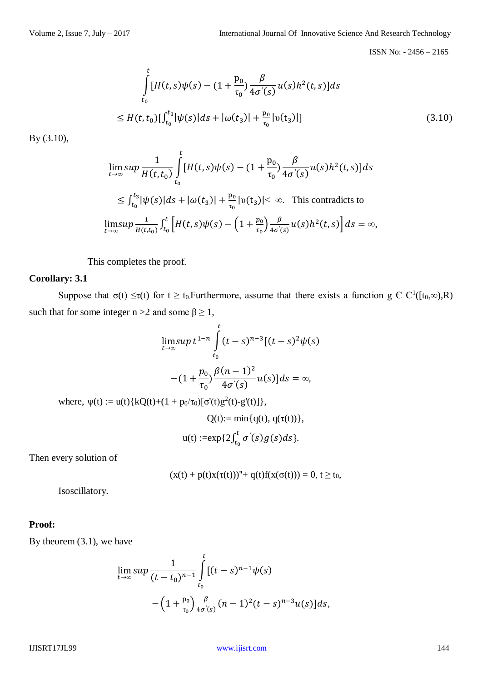$$
\int_{t_0}^t [H(t,s)\psi(s) - (1 + \frac{p_0}{\tau_0})\frac{\beta}{4\sigma'(s)}u(s)h^2(t,s)]ds
$$
\n
$$
\leq H(t,t_0)[\int_{t_0}^{t_3} |\psi(s)|ds + |\omega(t_3)| + \frac{p_0}{\tau_0}|v(t_3)|]
$$
\n(3.10)

By (3.10),

$$
\lim_{t \to \infty} \sup \frac{1}{H(t, t_0)} \int_{t_0}^t [H(t, s)\psi(s) - (1 + \frac{p_0}{\tau_0}) \frac{\beta}{4\sigma'(s)} u(s) h^2(t, s)] ds
$$
\n
$$
\leq \int_{t_0}^{t_3} |\psi(s)| ds + |\omega(t_3)| + \frac{p_0}{\tau_0} |v(t_3)| < \infty. \text{ This contradicts to}
$$
\n
$$
\lim_{t \to \infty} \sup \frac{1}{H(t, t_0)} \int_{t_0}^t [H(t, s)\psi(s) - \left(1 + \frac{p_0}{\tau_0}\right) \frac{\beta}{4\sigma'(s)} u(s) h^2(t, s)] ds = \infty,
$$

This completes the proof.

# **Corollary: 3.1**

Suppose that  $\sigma(t) \leq \tau(t)$  for  $t \geq t_0$ . Furthermore, assume that there exists a function  $g \in C^1([t_0,\infty),R)$ such that for some integer n > 2 and some  $\beta \ge 1$ ,

$$
\lim_{t \to \infty} \sup t^{1-n} \int_{t_0}^t (t-s)^{n-3} [(t-s)^2 \psi(s)]
$$
  
-(1 +  $\frac{p_0}{\tau_0} \frac{\beta(n-1)^2}{4\sigma'(s)} u(s)] ds = \infty$ ,  
where,  $\psi(t) := u(t) \{ kQ(t) + (1 + p_0/\tau_0) [\sigma'(t)g^2(t) - g'(t)] \},$   
 $Q(t) := \min \{ q(t), q(\tau(t)) \},$   
 $u(t) := \exp\{ 2 \int_{t_0}^t \sigma'(s) g(s) ds \}.$ 

Then every solution of

$$
(x(t) + p(t)x(\tau(t)))'' + q(t)f(x(\sigma(t))) = 0, t \ge t_0,
$$

Isoscillatory.

## **Proof:**

By theorem (3.1), we have

$$
\lim_{t \to \infty} \sup \frac{1}{(t - t_0)^{n-1}} \int_{t_0}^t [(t - s)^{n-1} \psi(s) - (1 + \frac{p_0}{\tau_0}) \frac{\beta}{4\sigma'(s)} (n - 1)^2 (t - s)^{n-3} u(s)] ds,
$$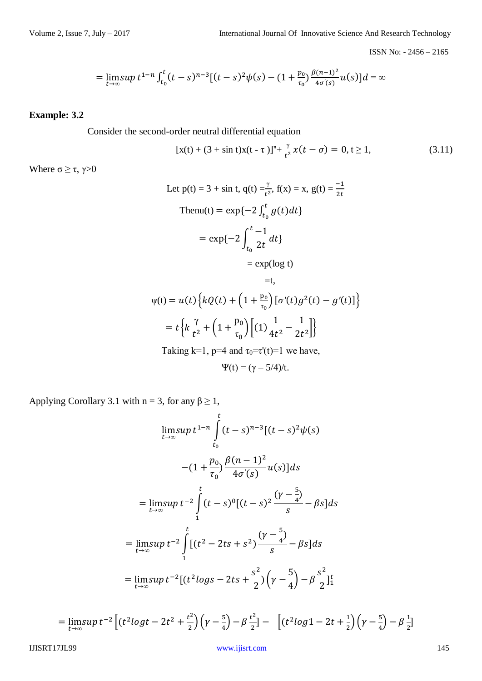$$
= \lim_{t \to \infty} \sup t^{1-n} \int_{t_0}^t (t-s)^{n-3} [(t-s)^2 \psi(s) - (1+\frac{p_0}{\tau_0}) \frac{\beta(n-1)^2}{4\sigma'(s)} u(s)] ds = \infty
$$

# **Example: 3.2**

Consider the second-order neutral differential equation

$$
[x(t) + (3 + \sin t)x(t - \tau)]'' + \frac{\gamma}{t^2}x(t - \sigma) = 0, t \ge 1,
$$
 (3.11)

Where  $\sigma \geq \tau$ ,  $\gamma > 0$ 

Let p(t) = 3 + sin t, q(t) = 
$$
\frac{y}{t^2}
$$
, f(x) = x, g(t) =  $\frac{-1}{2t}$   
\nThenu(t) = exp{-2  $\int_{t_0}^{t} g(t) dt$ }  
\n= exp{-2  $\int_{t_0}^{t} \frac{-1}{2t} dt$ }  
\n= exp(log t)  
\n= t,

$$
\psi(t) = u(t) \left\{ kQ(t) + \left( 1 + \frac{p_0}{\tau_0} \right) [\sigma'(t)g^2(t) - g'(t)] \right\}
$$

$$
= t \left\{ k \frac{\gamma}{t^2} + \left( 1 + \frac{p_0}{\tau_0} \right) [ (1) \frac{1}{4t^2} - \frac{1}{2t^2} ] \right\}
$$

$$
\text{Taking k=1, p=4 and } \tau_0 = \tau'(t) = 1 \text{ we have,}
$$

$$
\Psi(t) = (\gamma - 5/4)/t.
$$

Applying Corollary 3.1 with  $n = 3$ , for any  $\beta \ge 1$ ,

$$
\lim_{t \to \infty} \sup t^{1-n} \int_{t_0}^{t} (t-s)^{n-3} [(t-s)^2 \psi(s)]
$$
  
-(1 +  $\frac{p_0}{\tau_0}$ )  $\frac{\beta(n-1)^2}{4\sigma'(s)} u(s)$  ]ds  
=  $\lim_{t \to \infty} \sup t^{-2} \int_{1}^{t} (t-s)^0 [(t-s)^2 \frac{(\gamma - \frac{5}{4})}{s} - \beta s] ds$   
=  $\lim_{t \to \infty} \sup t^{-2} \int_{1}^{t} [(t^2 - 2ts + s^2) \frac{(\gamma - \frac{5}{4})}{s} - \beta s] ds$   
=  $\lim_{t \to \infty} \sup t^{-2} [(t^2 \log s - 2ts + \frac{s^2}{2}) (\gamma - \frac{5}{4}) - \beta \frac{s^2}{2}]_{1}^{t}$ 

$$
= \lim_{t \to \infty} \sup t^{-2} \left[ \left( t^2 \log t - 2t^2 + \frac{t^2}{2} \right) \left( \gamma - \frac{5}{4} \right) - \beta \frac{t^2}{2} \right] - \left[ \left( t^2 \log 1 - 2t + \frac{1}{2} \right) \left( \gamma - \frac{5}{4} \right) - \beta \frac{1}{2} \right]
$$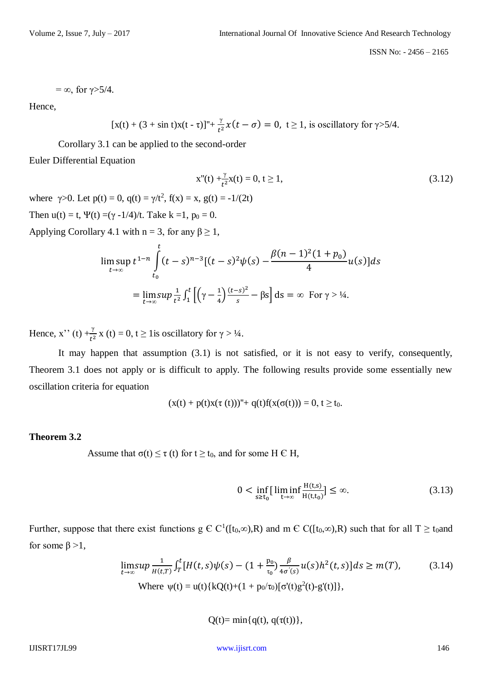$$
=\infty
$$
, for  $\gamma$ >5/4.

Hence,

$$
[x(t) + (3 + \sin t)x(t - \tau)]^{n} + \frac{\gamma}{t^{2}}x(t - \sigma) = 0, t \ge 1, \text{ is oscillatory for } \gamma > 5/4.
$$

Corollary 3.1 can be applied to the second-order

Euler Differential Equation

$$
x''(t) + \frac{\gamma}{t^2}x(t) = 0, t \ge 1,
$$
\n(3.12)

where  $\gamma > 0$ . Let  $p(t) = 0$ ,  $q(t) = \gamma/t^2$ ,  $f(x) = x$ ,  $g(t) = -1/(2t)$ Then  $u(t) = t$ ,  $\Psi(t) = (\gamma - 1/4)/t$ . Take  $k = 1$ ,  $p_0 = 0$ .

Applying Corollary 4.1 with  $n = 3$ , for any  $\beta \ge 1$ ,

$$
\limsup_{t \to \infty} t^{1-n} \int_{t_0}^t (t-s)^{n-3} [(t-s)^2 \psi(s) - \frac{\beta (n-1)^2 (1+p_0)}{4} u(s)] ds
$$
  
= 
$$
\lim_{t \to \infty} \sup \frac{1}{t^2} \int_1^t \left[ \left( \gamma - \frac{1}{4} \right) \frac{(t-s)^2}{s} - \beta s \right] ds = \infty \text{ For } \gamma > 1/4.
$$

Hence, x<sup>2</sup> (t)  $+\frac{\gamma}{t^2}$  x (t) = 0, t  $\geq$  1 is oscillatory for  $\gamma$  > 1/4.

It may happen that assumption (3.1) is not satisfied, or it is not easy to verify, consequently, Theorem 3.1 does not apply or is difficult to apply. The following results provide some essentially new oscillation criteria for equation

$$
(x(t) + p(t)x(\tau(t)))'' + q(t)f(x(\sigma(t))) = 0, t \ge t_0.
$$

# **Theorem 3.2**

Assume that  $\sigma(t) \le \tau$  (t) for  $t \ge t_0$ , and for some H  $\in$  H,

$$
0 < \inf_{s \ge t_0} \left[ \liminf_{t \to \infty} \frac{H(t,s)}{H(t,t_0)} \right] \le \infty. \tag{3.13}
$$

Further, suppose that there exist functions  $g \in C^1([t_0,\infty),R)$  and  $m \in C([t_0,\infty),R)$  such that for all  $T \ge t_0$ and for some  $\beta > 1$ ,

$$
\lim_{t \to \infty} \sup \frac{1}{H(t,T)} \int_{T}^{t} [H(t,s)\psi(s) - (1 + \frac{p_0}{\tau_0}) \frac{\beta}{4\sigma'(s)} u(s) h^2(t,s)] ds \ge m(T),
$$
\n(3.14)  
\nWhere  $\psi(t) = u(t) \{ kQ(t) + (1 + p_0/\tau_0) [\sigma'(t)g^2(t) - g'(t)] \},$ 

 $Q(t) = min{q(t), q(\tau(t))},$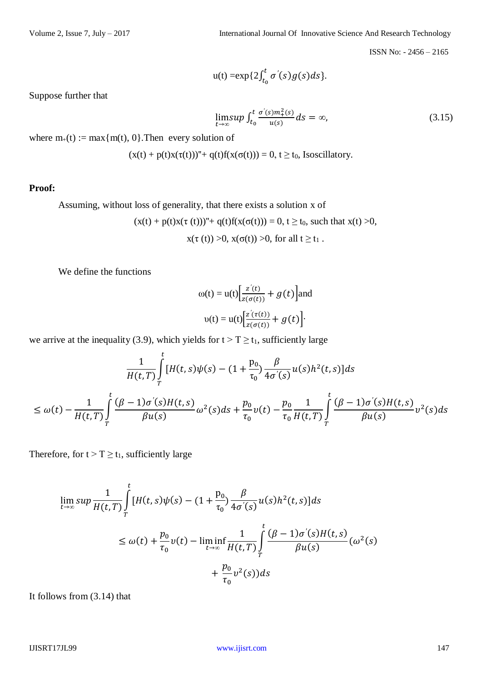$$
u(t) = \exp\{2\int_{t_0}^t \sigma'(s)g(s)ds\}.
$$

Suppose further that

$$
\lim_{t \to \infty} \sup \int_{t_0}^{t} \frac{\sigma'(s) m_+^2(s)}{u(s)} ds = \infty, \tag{3.15}
$$

where  $m_{+}(t) := \max\{m(t), 0\}$ . Then every solution of

$$
(x(t) + p(t)x(\tau(t)))'' + q(t)f(x(\sigma(t))) = 0, t \ge t_0, Isoscillatory.
$$

**Proof:**

Assuming, without loss of generality, that there exists a solution x of

$$
(x(t) + p(t)x(\tau(t)))'' + q(t)f(x(\sigma(t))) = 0, t \ge t_0, \text{ such that } x(t) > 0,
$$
  

$$
x(\tau(t)) > 0, x(\sigma(t)) > 0, \text{ for all } t \ge t_1.
$$

We define the functions

$$
\omega(t) = u(t) \Big[ \frac{z'(t)}{z(\sigma(t))} + g(t) \Big] \text{and}
$$

$$
\upsilon(t) = u(t) \Big[ \frac{z'(\tau(t))}{z(\sigma(t))} + g(t) \Big].
$$

we arrive at the inequality (3.9), which yields for  $t > T \ge t_1$ , sufficiently large

$$
\frac{1}{H(t,T)} \int_{T}^{t} [H(t,s)\psi(s) - (1 + \frac{p_0}{\tau_0}) \frac{\beta}{4\sigma'(s)} u(s) h^2(t,s)] ds
$$
\n
$$
\leq \omega(t) - \frac{1}{H(t,T)} \int_{T}^{t} \frac{(\beta - 1)\sigma'(s)H(t,s)}{\beta u(s)} \omega^2(s) ds + \frac{p_0}{\tau_0} v(t) - \frac{p_0}{\tau_0} \frac{1}{H(t,T)} \int_{T}^{t} \frac{(\beta - 1)\sigma'(s)H(t,s)}{\beta u(s)} v^2(s) ds
$$

Therefore, for  $t > T \ge t_1$ , sufficiently large

$$
\lim_{t \to \infty} \sup \frac{1}{H(t,T)} \int_{T}^{t} [H(t,s)\psi(s) - (1 + \frac{p_0}{\tau_0}) \frac{\beta}{4\sigma'(s)} u(s) h^2(t,s)] ds
$$
\n
$$
\leq \omega(t) + \frac{p_0}{\tau_0} v(t) - \liminf_{t \to \infty} \frac{1}{H(t,T)} \int_{T}^{t} \frac{(\beta - 1)\sigma'(s)H(t,s)}{\beta u(s)} (\omega^2(s) + \frac{p_0}{\tau_0} v^2(s)) ds
$$

It follows from (3.14) that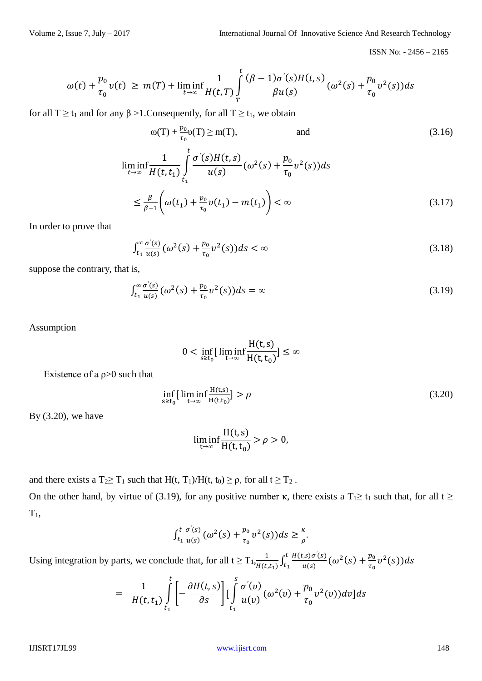$$
\omega(t) + \frac{p_0}{\tau_0} v(t) \ge m(T) + \liminf_{t \to \infty} \frac{1}{H(t,T)} \int_{T}^{t} \frac{(\beta - 1)\sigma'(s)H(t,s)}{\beta u(s)} (\omega^2(s) + \frac{p_0}{\tau_0} v^2(s)) ds
$$

for all  $T \ge t_1$  and for any  $\beta > 1$ . Consequently, for all  $T \ge t_1$ , we obtain

$$
\omega(T) + \frac{p_0}{\tau_0} \upsilon(T) \ge m(T), \qquad \text{and} \tag{3.16}
$$
\n
$$
\liminf_{t \to \infty} \frac{1}{H(t, t_1)} \int_{t_1}^t \frac{\sigma'(s)H(t, s)}{u(s)} (\omega^2(s) + \frac{p_0}{\tau_0} \upsilon^2(s)) ds
$$
\n
$$
\le \frac{\beta}{\beta - 1} \left( \omega(t_1) + \frac{p_0}{\tau_0} \upsilon(t_1) - m(t_1) \right) < \infty \tag{3.17}
$$

In order to prove that

$$
\int_{t_1}^{\infty} \frac{\sigma'(s)}{u(s)} \left( \omega^2(s) + \frac{p_0}{\tau_0} v^2(s) \right) ds < \infty \tag{3.18}
$$

suppose the contrary, that is,

$$
\int_{t_1}^{\infty} \frac{\sigma'(s)}{u(s)} (\omega^2(s) + \frac{p_0}{\tau_0} v^2(s)) ds = \infty
$$
\n(3.19)

Assumption

$$
0 < \inf_{s \ge t_0} \left[ \liminf_{t \to \infty} \frac{H(t, s)}{H(t, t_0)} \right] \le \infty
$$

Existence of a  $\rho$  > 0 such that

$$
\inf_{s \ge t_0} \left[ \liminf_{t \to \infty} \frac{H(t,s)}{H(t,t_0)} \right] > \rho \tag{3.20}
$$

By (3.20), we have

$$
\liminf_{t \to \infty} \frac{H(t,s)}{H(t,t_0)} > \rho > 0,
$$

and there exists a T<sub>2</sub> $\geq$  T<sub>1</sub> such that H(t, T<sub>1</sub>)/H(t, t<sub>0</sub>)  $\geq$   $\rho$ , for all t  $\geq$  T<sub>2</sub>.

On the other hand, by virtue of (3.19), for any positive number κ, there exists a  $T_1 \ge t_1$  such that, for all  $t \ge$  $T_1$ ,

$$
\int_{t_1}^t \frac{\sigma'(s)}{u(s)} (\omega^2(s) + \frac{p_0}{\tau_0} v^2(s)) ds \geq \frac{\kappa}{\rho}.
$$

Using integration by parts, we conclude that, for all  $t \geq T_1$ ,  $\frac{1}{\sqrt{1 + \frac{1}{n}}$  $\frac{1}{H(t,t_1)} \int_{t_1}^{t} \frac{H(t,s)\sigma'(s)}{u(s)}$  $\frac{\partial f(S)}{\partial u(s)}(\omega^2(s) + \frac{p_0}{\tau_0})$  $\int_{t_1}^{t} \frac{H(t,s)\sigma'(s)}{u(s)} (\omega^2(s) + \frac{p_0}{\tau_0} v^2(s)) ds$ 

$$
=\frac{1}{H(t,t_1)}\int\limits_{t_1}^t\left[-\frac{\partial H(t,s)}{\partial s}\right][\int\limits_{t_1}^s\frac{\sigma'(v)}{u(v)}(\omega^2(v)+\frac{p_0}{\tau_0}v^2(v))dv]ds
$$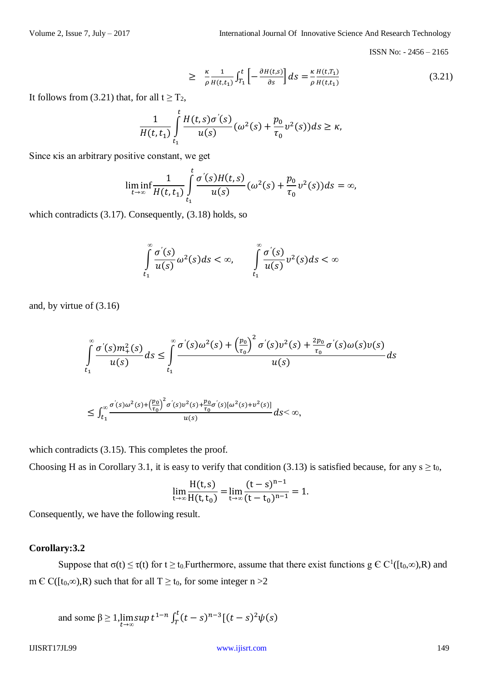$$
\geq \frac{\kappa}{\rho} \frac{1}{H(t,t_1)} \int_{T_1}^t \left[ -\frac{\partial H(t,s)}{\partial s} \right] ds = \frac{\kappa}{\rho} \frac{H(t,T_1)}{H(t,t_1)} \tag{3.21}
$$

It follows from (3.21) that, for all  $t \geq T_2$ ,

$$
\frac{1}{H(t,t_1)}\int_{t_1}^t \frac{H(t,s)\sigma'(s)}{u(s)}(\omega^2(s) + \frac{p_0}{\tau_0}v^2(s))ds \ge \kappa,
$$

Since κis an arbitrary positive constant, we get

$$
\liminf_{t\to\infty}\frac{1}{H(t,t_1)}\int_{t_1}^t\frac{\sigma'(s)H(t,s)}{u(s)}(\omega^2(s)+\frac{p_0}{\tau_0}v^2(s))ds=\infty,
$$

which contradicts (3.17). Consequently, (3.18) holds, so

$$
\int_{t_1}^{\infty} \frac{\sigma'(s)}{u(s)} \omega^2(s) ds < \infty, \qquad \int_{t_1}^{\infty} \frac{\sigma'(s)}{u(s)} \omega^2(s) ds < \infty
$$

and, by virtue of (3.16)

$$
\int_{t_1}^{\infty} \frac{\sigma'(s)m_+^2(s)}{u(s)} ds \le \int_{t_1}^{\infty} \frac{\sigma'(s)\omega^2(s) + \left(\frac{p_0}{\tau_0}\right)^2 \sigma'(s)v^2(s) + \frac{2p_0}{\tau_0} \sigma'(s)\omega(s)v(s)}{u(s)} ds
$$

$$
\leq \int_{t_1}^{\infty} \frac{\sigma'(s) \omega^2(s) + \left(\frac{p_0}{\tau_0}\right)^2 \sigma'(s) \nu^2(s) + \frac{p_0}{\tau_0} \sigma'(s) [\omega^2(s) + \nu^2(s)]}{u(s)} ds < \infty,
$$

which contradicts  $(3.15)$ . This completes the proof.

Choosing H as in Corollary 3.1, it is easy to verify that condition (3.13) is satisfied because, for any  $s \ge t_0$ ,

$$
\lim_{t \to \infty} \frac{H(t,s)}{H(t,t_0)} = \lim_{t \to \infty} \frac{(t-s)^{n-1}}{(t-t_0)^{n-1}} = 1.
$$

Consequently, we have the following result.

# **Corollary:3.2**

Suppose that  $\sigma(t) \le \tau(t)$  for  $t \ge t_0$ . Furthermore, assume that there exist functions  $g \in C^1([t_0,\infty),R)$  and m  $\in$  C([t<sub>0</sub>, $\infty$ ),R) such that for all T  $\geq$  t<sub>0</sub>, for some integer n >2

and some  $\beta$  ≥ 1,  $\limsup_{t \to \infty} t^{1-n} \int_T^t (t-s)^{n-3} [(t-s)^2 \psi(s)]$ T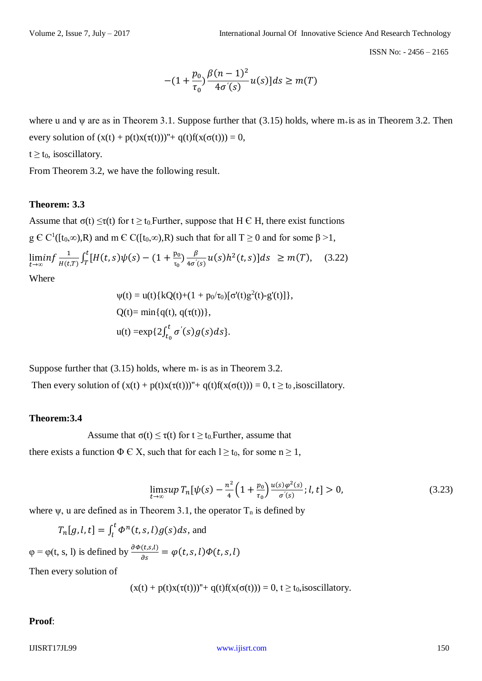$$
-(1+\frac{p_0}{\tau_0})\frac{\beta(n-1)^2}{4\sigma'(s)}u(s)]ds \ge m(T)
$$

where u and  $\psi$  are as in Theorem 3.1. Suppose further that (3.15) holds, where  $m<sub>+</sub>$  is as in Theorem 3.2. Then every solution of  $(x(t) + p(t)x(\tau(t)))''+ q(t)f(x(\sigma(t))) = 0$ ,

 $t \geq t_0$ , isoscillatory.

From Theorem 3.2, we have the following result.

#### **Theorem: 3.3**

Assume that  $\sigma(t) \leq \tau(t)$  for  $t \geq t_0$ . Further, suppose that H  $\in$  H, there exist functions  $g \in C^1([t_0,\infty),R)$  and m  $\in C([t_0,\infty),R)$  such that for all  $T \ge 0$  and for some  $\beta > 1$ ,

$$
\liminf_{t \to \infty} \frac{1}{H(t,T)} \int_{T}^{t} [H(t,s)\psi(s) - (1 + \frac{p_0}{\tau_0}) \frac{\beta}{4\sigma'(s)} u(s) h^2(t,s)] ds \geq m(T), \quad (3.22)
$$

Where

$$
\psi(t) = u(t) \{ kQ(t) + (1 + p_0/\tau_0) [\sigma'(t)g^2(t) - g'(t)] \},
$$
  
Q(t)= min{q(t), q(\tau(t))},  

$$
u(t) = \exp\{2\int_{t_0}^t \sigma'(s)g(s)ds\}.
$$

Suppose further that  $(3.15)$  holds, where  $m<sub>+</sub>$  is as in Theorem 3.2.

Then every solution of  $(x(t) + p(t)x(\tau(t)))'' + q(t)f(x(\sigma(t))) = 0, t \ge t_0$ , isoscillatory.

#### **Theorem:3.4**

Assume that  $\sigma(t) \leq \tau(t)$  for  $t \geq t_0$ . Further, assume that

there exists a function  $\Phi \in X$ , such that for each  $l \ge t_0$ , for some  $n \ge 1$ ,

$$
\lim_{t \to \infty} \sup T_n[\psi(s) - \frac{n^2}{4} \left( 1 + \frac{p_0}{\tau_0} \right) \frac{u(s)\varphi^2(s)}{\sigma'(s)}; l, t] > 0,
$$
\n(3.23)

where  $\psi$ , u are defined as in Theorem 3.1, the operator  $T_n$  is defined by

$$
T_n[g, l, t] = \int_l^t \Phi^n(t, s, l) g(s) ds
$$
, and

 $\varphi = \varphi(t, s, l)$  is defined by  $\frac{\partial \varphi(t, s, l)}{\partial s} = \varphi(t, s, l)\varphi(t, s, l)$ 

Then every solution of

$$
(x(t) + p(t)x(\tau(t)))'' + q(t)f(x(\sigma(t))) = 0, t \geq t_0
$$
, is oscillatory.

#### **Proof**: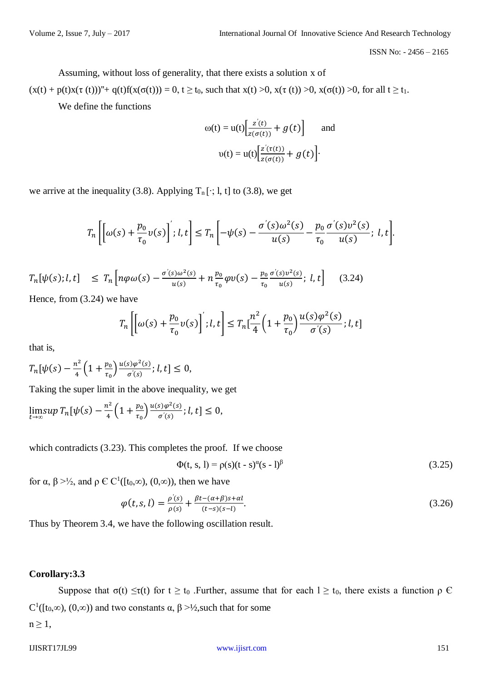Assuming, without loss of generality, that there exists a solution x of

 $(x(t) + p(t)x(\tau(t)))'' + q(t)f(x(\sigma(t))) = 0, t \ge t_0$ , such that  $x(t) > 0$ ,  $x(\tau(t)) > 0$ ,  $x(\sigma(t)) > 0$ , for all  $t \ge t_1$ . We define the functions

$$
\omega(t) = u(t) \left[ \frac{z'(t)}{z(\sigma(t))} + g(t) \right] \quad \text{and}
$$

$$
\upsilon(t) = u(t) \left[ \frac{z'(\tau(t))}{z(\sigma(t))} + g(t) \right].
$$

we arrive at the inequality (3.8). Applying  $T_n[\cdot; 1, t]$  to (3.8), we get

$$
T_n\left[\left[\omega(s)+\frac{p_0}{\tau_0}v(s)\right];l,t\right]\leq T_n\left[-\psi(s)-\frac{\sigma'(s)\omega^2(s)}{u(s)}-\frac{p_0}{\tau_0}\frac{\sigma'(s)v^2(s)}{u(s)};l,t\right].
$$

$$
T_n[\psi(s); l, t] \le T_n\left[n\varphi\omega(s) - \frac{\sigma(s)\omega^2(s)}{u(s)} + n\frac{p_0}{\tau_0}\varphi v(s) - \frac{p_0}{\tau_0}\frac{\sigma(s)v^2(s)}{u(s)}; l, t\right] \quad (3.24)
$$

Hence, from (3.24) we have

$$
T_n\left[\left[\omega(s) + \frac{p_0}{\tau_0}v(s)\right]; l, t\right] \le T_n\left[\frac{n^2}{4}\left(1 + \frac{p_0}{\tau_0}\right)\frac{u(s)\varphi^2(s)}{\sigma'(s)}; l, t\right]
$$

that is,

$$
T_n[\psi(s) - \frac{n^2}{4} \left(1 + \frac{p_0}{\tau_0}\right) \frac{u(s)\varphi^2(s)}{\sigma'(s)}; l, t] \le 0,
$$

Taking the super limit in the above inequality, we get

$$
\limsup_{t\to\infty}T_n[\psi(s)-\frac{n^2}{4}\Big(1+\frac{p_0}{\tau_0}\Big)\frac{u(s)\varphi^2(s)}{\sigma'(s)};l,t]\leq 0,
$$

which contradicts (3.23). This completes the proof. If we choose

$$
\Phi(t, s, l) = \rho(s)(t - s)^{\alpha}(s - l)^{\beta}
$$
\n(3.25)

for  $\alpha$ ,  $\beta$  >½, and  $\rho \in C^1([t_0,\infty), (0,\infty))$ , then we have

$$
\varphi(t,s,l) = \frac{\rho'(s)}{\rho(s)} + \frac{\beta t - (\alpha + \beta)s + \alpha l}{(t-s)(s-l)}.
$$
\n(3.26)

Thus by Theorem 3.4, we have the following oscillation result.

#### **Corollary:3.3**

Suppose that  $\sigma(t) \leq \tau(t)$  for  $t \geq t_0$ . Further, assume that for each  $l \geq t_0$ , there exists a function  $\rho \in \mathcal{C}$ C<sup>1</sup>([t<sub>0</sub>,∞), (0,∞)) and two constants  $\alpha$ ,  $\beta$  >½, such that for some

 $n \geq 1$ ,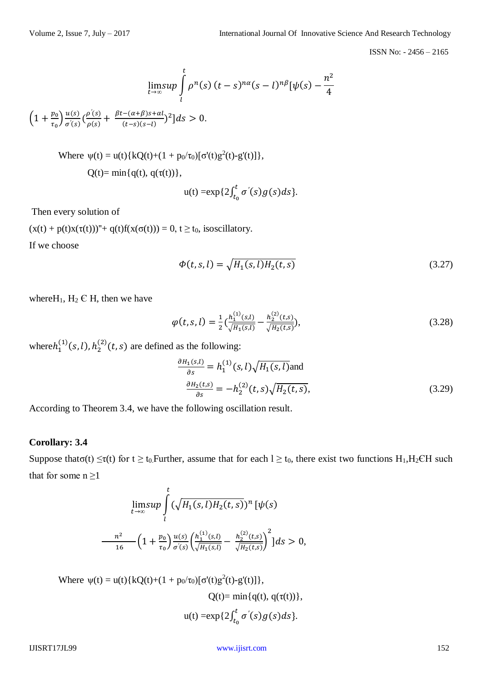$$
\lim_{t\to\infty}\sup_{l}\int_{l}^{t}\rho^{n}(s)(t-s)^{n\alpha}(s-l)^{n\beta}[\psi(s)-\frac{n^{2}}{4}]
$$

 $\left(1+\frac{p_0}{q}\right)$  $\frac{p_0}{\tau_0}$  $\frac{u(s)}{\sigma'(s)}$  $\frac{u(s)}{\sigma'(s)}\big(\frac{\rho'(s)}{\rho(s)}\big)$  $\frac{\rho'(s)}{\rho(s)} + \frac{\beta t - (\alpha + \beta)s + \alpha l}{(t-s)(s-l)}$  $\frac{(-(\alpha+\beta)s+\alpha t)}{(t-s)(s-t)}^2]ds > 0.$ 

Where 
$$
\psi(t) = u(t) \{ kQ(t) + (1 + p_0/\tau_0) [\sigma'(t)g^2(t) - g'(t)] \},
$$
  
  $Q(t) = \min \{ q(t), q(\tau(t)) \},$ 

$$
u(t) = \exp\{2\int_{t_0}^t \sigma'(s)g(s)ds\}.
$$

Then every solution of

 $(x(t) + p(t)x(\tau(t)))'' + q(t)f(x(\sigma(t))) = 0, t \ge t_0$ , isoscillatory.

If we choose

$$
\Phi(t, s, l) = \sqrt{H_1(s, l) H_2(t, s)}
$$
\n(3.27)

where  $H_1$ ,  $H_2 \in H$ , then we have

$$
\varphi(t,s,l) = \frac{1}{2} \left( \frac{h_1^{(1)}(s,l)}{\sqrt{H_1(s,l)}} - \frac{h_2^{(2)}(t,s)}{\sqrt{H_2(t,s)}} \right),\tag{3.28}
$$

where  $h_1^{(1)}(s, l)$ ,  $h_2^{(2)}(t, s)$  are defined as the following:

$$
\frac{\partial H_1(s,l)}{\partial s} = h_1^{(1)}(s,l)\sqrt{H_1(s,l)}
$$
\n
$$
\frac{\partial H_2(t,s)}{\partial s} = -h_2^{(2)}(t,s)\sqrt{H_2(t,s)},
$$
\n(3.29)

According to Theorem 3.4, we have the following oscillation result.

#### **Corollary: 3.4**

Suppose that  $\sigma(t) \leq \tau(t)$  for  $t \geq t_0$ . Further, assume that for each  $l \geq t_0$ , there exist two functions H<sub>1</sub>,H<sub>2</sub>CH such that for some  $n \geq 1$ 

$$
\lim_{t \to \infty} \sup \int_{l}^{t} (\sqrt{H_1(s, l)H_2(t, s)})^n [\psi(s)]
$$

$$
\frac{n^2}{16} \left(1 + \frac{p_0}{\tau_0}\right) \frac{u(s)}{\sigma'(s)} \left(\frac{h_1^{(1)}(s, l)}{\sqrt{H_1(s, l)}} - \frac{h_2^{(2)}(t, s)}{\sqrt{H_2(t, s)}}\right)^2] ds > 0,
$$

Where  $\psi(t) = u(t) \{ kQ(t) + (1 + p_0/\tau_0) [\sigma'(t)g^2(t) - g'(t)] \},$ 

$$
Q(t) = \min\{q(t), q(\tau(t))\},
$$
  
 
$$
u(t) = \exp\{2\int_{t_0}^t \sigma'(s)g(s)ds\}.
$$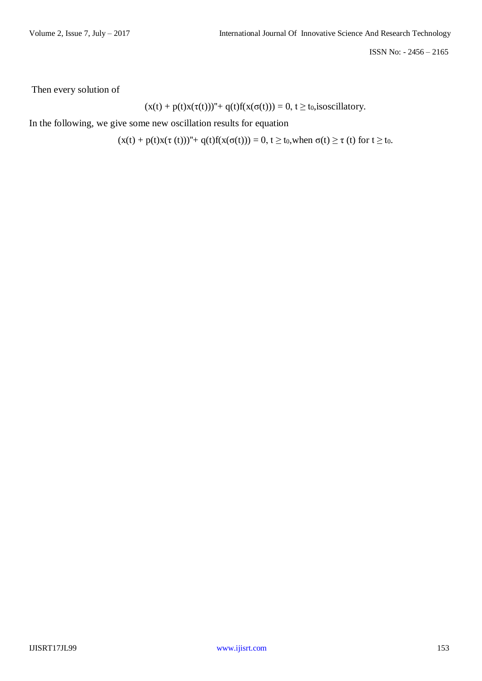Then every solution of

$$
(x(t) + p(t)x(\tau(t)))'' + q(t)f(x(\sigma(t))) = 0, t \ge t_0
$$
, is oscillatory.

In the following, we give some new oscillation results for equation

 $(x(t) + p(t)x(\tau(t)))'' + q(t)f(x(\sigma(t))) = 0, t \ge t_0$ , when  $\sigma(t) \ge \tau$  (t) for  $t \ge t_0$ .